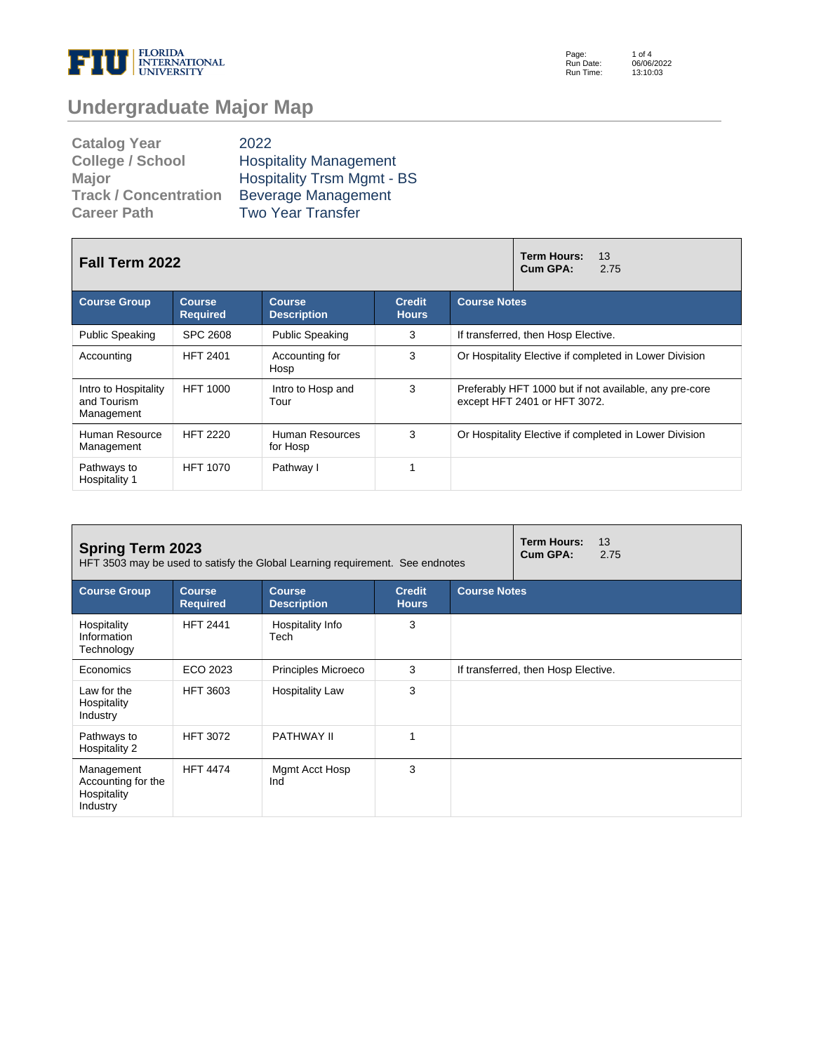

Page: Run Date: Run Time: 1 of 4 06/06/2022 13:10:03

# **Undergraduate Major Map**

| <b>Catalog Year</b>          | 2022                              |
|------------------------------|-----------------------------------|
| <b>College / School</b>      | <b>Hospitality Management</b>     |
| <b>Major</b>                 | <b>Hospitality Trsm Mgmt - BS</b> |
| <b>Track / Concentration</b> | <b>Beverage Management</b>        |
| <b>Career Path</b>           | <b>Two Year Transfer</b>          |

| Fall Term 2022                                    |                            | 13<br>Term Hours:<br>Cum GPA:<br>2.75 |                               |                                                                                        |  |  |  |
|---------------------------------------------------|----------------------------|---------------------------------------|-------------------------------|----------------------------------------------------------------------------------------|--|--|--|
| <b>Course Group</b>                               | Course.<br><b>Required</b> | Course<br><b>Description</b>          | <b>Credit</b><br><b>Hours</b> | <b>Course Notes</b>                                                                    |  |  |  |
| <b>Public Speaking</b>                            | <b>SPC 2608</b>            | <b>Public Speaking</b>                | 3                             | If transferred, then Hosp Elective.                                                    |  |  |  |
| Accounting                                        | <b>HFT 2401</b>            | Accounting for<br>Hosp                | 3                             | Or Hospitality Elective if completed in Lower Division                                 |  |  |  |
| Intro to Hospitality<br>and Tourism<br>Management | <b>HFT 1000</b>            | Intro to Hosp and<br>Tour             | 3                             | Preferably HFT 1000 but if not available, any pre-core<br>except HFT 2401 or HFT 3072. |  |  |  |
| Human Resource<br>Management                      | <b>HFT 2220</b>            | Human Resources<br>for Hosp           | 3                             | Or Hospitality Elective if completed in Lower Division                                 |  |  |  |
| Pathways to<br>Hospitality 1                      | <b>HFT 1070</b>            | Pathway I                             | 4                             |                                                                                        |  |  |  |

| <b>Spring Term 2023</b><br>HFT 3503 may be used to satisfy the Global Learning requirement. See endnotes |                                  | <b>Term Hours:</b><br>13<br>Cum GPA:<br>2.75 |                               |                                     |  |  |  |
|----------------------------------------------------------------------------------------------------------|----------------------------------|----------------------------------------------|-------------------------------|-------------------------------------|--|--|--|
| <b>Course Group</b>                                                                                      | <b>Course</b><br><b>Required</b> | <b>Course</b><br><b>Description</b>          | <b>Credit</b><br><b>Hours</b> | <b>Course Notes</b>                 |  |  |  |
| Hospitality<br>Information<br>Technology                                                                 | <b>HFT 2441</b>                  | Hospitality Info<br>Tech                     | 3                             |                                     |  |  |  |
| Economics                                                                                                | ECO 2023                         | Principles Microeco                          | 3                             | If transferred, then Hosp Elective. |  |  |  |
| Law for the<br>Hospitality<br>Industry                                                                   | <b>HFT 3603</b>                  | <b>Hospitality Law</b>                       | 3                             |                                     |  |  |  |
| Pathways to<br>Hospitality 2                                                                             | <b>HFT 3072</b>                  | <b>PATHWAY II</b>                            | 1                             |                                     |  |  |  |
| Management<br>Accounting for the<br>Hospitality<br>Industry                                              | <b>HFT 4474</b>                  | Mgmt Acct Hosp<br>Ind                        | 3                             |                                     |  |  |  |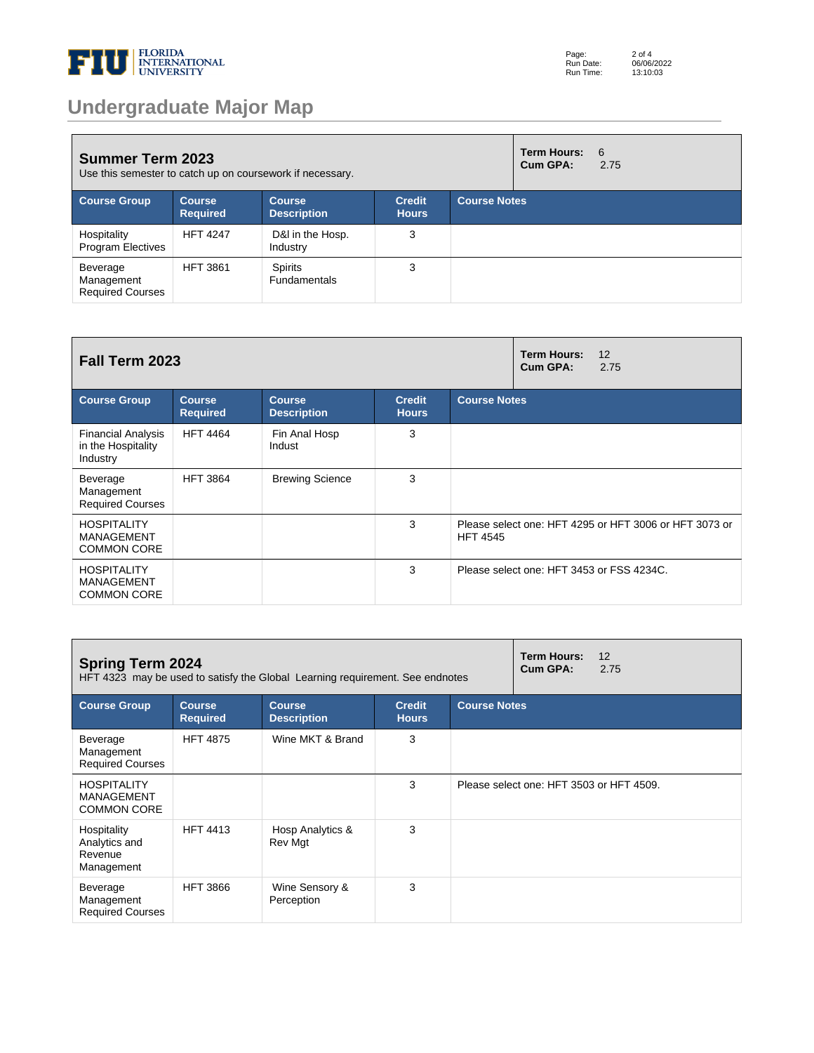

# **Undergraduate Major Map**

| <b>Summer Term 2023</b><br>Use this semester to catch up on coursework if necessary. |                                  |                                     |                               | <b>Term Hours:</b><br>Cum GPA: | - 6<br>2.75 |  |
|--------------------------------------------------------------------------------------|----------------------------------|-------------------------------------|-------------------------------|--------------------------------|-------------|--|
| <b>Course Group</b>                                                                  | <b>Course</b><br><b>Required</b> | <b>Course</b><br><b>Description</b> | <b>Credit</b><br><b>Hours</b> | <b>Course Notes</b>            |             |  |
| Hospitality<br><b>Program Electives</b>                                              | <b>HFT 4247</b>                  | D&I in the Hosp.<br>Industry        | 3                             |                                |             |  |
| Beverage<br>Management<br><b>Required Courses</b>                                    | <b>HFT 3861</b>                  | Spirits<br><b>Fundamentals</b>      | 3                             |                                |             |  |

| Fall Term 2023                                                |                                  |                                     |                               | Term Hours:<br>12<br>Cum GPA:<br>2.75 |                                                        |
|---------------------------------------------------------------|----------------------------------|-------------------------------------|-------------------------------|---------------------------------------|--------------------------------------------------------|
| <b>Course Group</b>                                           | <b>Course</b><br><b>Required</b> | <b>Course</b><br><b>Description</b> | <b>Credit</b><br><b>Hours</b> | <b>Course Notes</b>                   |                                                        |
| <b>Financial Analysis</b><br>in the Hospitality<br>Industry   | <b>HFT 4464</b>                  | Fin Anal Hosp<br>Indust             | 3                             |                                       |                                                        |
| Beverage<br>Management<br><b>Required Courses</b>             | <b>HFT 3864</b>                  | <b>Brewing Science</b>              | 3                             |                                       |                                                        |
| <b>HOSPITALITY</b><br><b>MANAGEMENT</b><br><b>COMMON CORE</b> |                                  |                                     | 3                             | <b>HFT 4545</b>                       | Please select one: HFT 4295 or HFT 3006 or HFT 3073 or |
| <b>HOSPITALITY</b><br><b>MANAGEMENT</b><br><b>COMMON CORE</b> |                                  |                                     | 3                             |                                       | Please select one: HFT 3453 or FSS 4234C.              |

| <b>Spring Term 2024</b><br>HFT 4323 may be used to satisfy the Global Learning requirement. See endnotes |                                  |                                     |                               | <b>Term Hours:</b><br>Cum GPA: | 12<br>2.75                               |  |
|----------------------------------------------------------------------------------------------------------|----------------------------------|-------------------------------------|-------------------------------|--------------------------------|------------------------------------------|--|
| <b>Course Group</b>                                                                                      | <b>Course</b><br><b>Required</b> | <b>Course</b><br><b>Description</b> | <b>Credit</b><br><b>Hours</b> | <b>Course Notes</b>            |                                          |  |
| Beverage<br>Management<br><b>Required Courses</b>                                                        | <b>HFT 4875</b>                  | Wine MKT & Brand                    | 3                             |                                |                                          |  |
| <b>HOSPITALITY</b><br><b>MANAGEMENT</b><br><b>COMMON CORE</b>                                            |                                  |                                     | 3                             |                                | Please select one: HFT 3503 or HFT 4509. |  |
| Hospitality<br>Analytics and<br>Revenue<br>Management                                                    | <b>HFT 4413</b>                  | Hosp Analytics &<br>Rev Mgt         | 3                             |                                |                                          |  |
| Beverage<br>Management<br><b>Required Courses</b>                                                        | <b>HFT 3866</b>                  | Wine Sensory &<br>Perception        | 3                             |                                |                                          |  |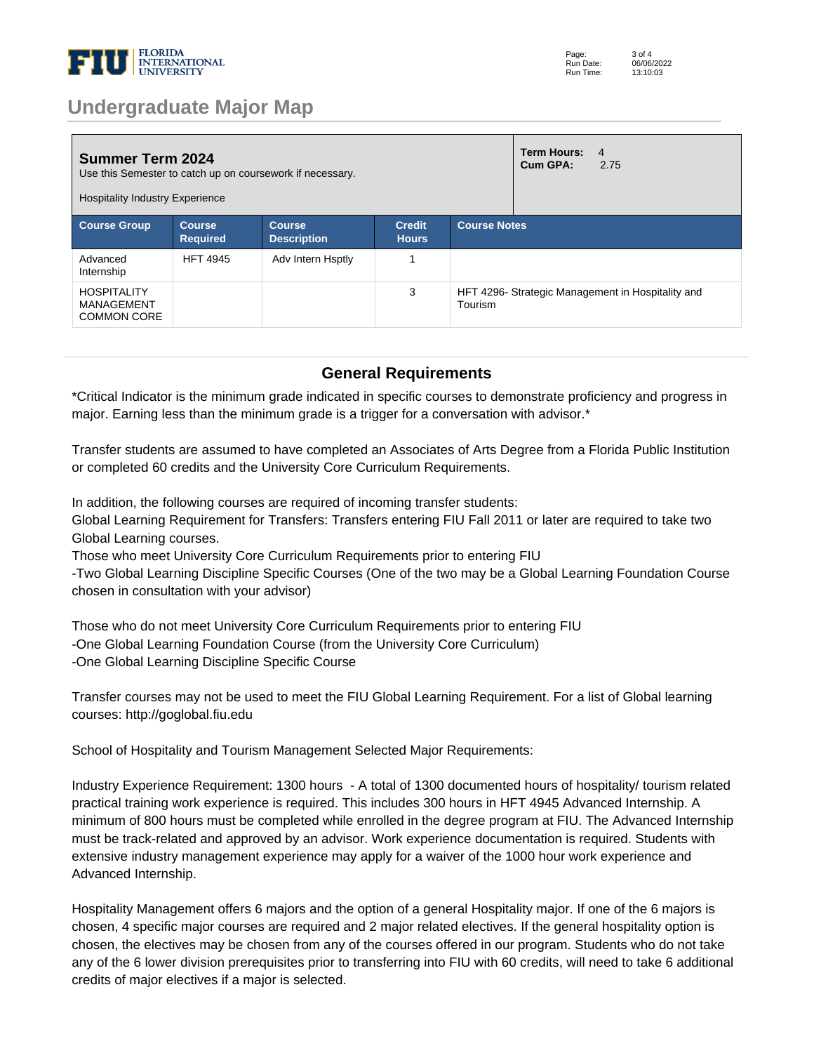

### **Undergraduate Major Map**

| <b>Summer Term 2024</b><br>Use this Semester to catch up on coursework if necessary.<br><b>Hospitality Industry Experience</b> |                                  |                                     |                               | Term Hours:<br>Cum GPA:                                     | $\overline{4}$<br>2.75 |  |
|--------------------------------------------------------------------------------------------------------------------------------|----------------------------------|-------------------------------------|-------------------------------|-------------------------------------------------------------|------------------------|--|
| <b>Course Group</b>                                                                                                            | <b>Course</b><br><b>Required</b> | <b>Course</b><br><b>Description</b> | <b>Credit</b><br><b>Hours</b> | <b>Course Notes</b>                                         |                        |  |
| Advanced<br>Internship                                                                                                         | <b>HFT 4945</b>                  | Adv Intern Hsptly                   |                               |                                                             |                        |  |
| <b>HOSPITALITY</b><br>MANAGEMENT<br><b>COMMON CORE</b>                                                                         |                                  |                                     | 3                             | HFT 4296-Strategic Management in Hospitality and<br>Tourism |                        |  |

#### **General Requirements**

\*Critical Indicator is the minimum grade indicated in specific courses to demonstrate proficiency and progress in major. Earning less than the minimum grade is a trigger for a conversation with advisor.\*

Transfer students are assumed to have completed an Associates of Arts Degree from a Florida Public Institution or completed 60 credits and the University Core Curriculum Requirements. 

In addition, the following courses are required of incoming transfer students: 

Global Learning Requirement for Transfers: Transfers entering FIU Fall 2011 or later are required to take two Global Learning courses. 

Those who meet University Core Curriculum Requirements prior to entering FIU 

-Two Global Learning Discipline Specific Courses (One of the two may be a Global Learning Foundation Course chosen in consultation with your advisor) 

Those who do not meet University Core Curriculum Requirements prior to entering FIU -One Global Learning Foundation Course (from the University Core Curriculum) -One Global Learning Discipline Specific Course 

Transfer courses may not be used to meet the FIU Global Learning Requirement. For a list of Global learning courses: http://goglobal.fiu.edu 

School of Hospitality and Tourism Management Selected Major Requirements: 

Industry Experience Requirement: 1300 hours - A total of 1300 documented hours of hospitality/ tourism related practical training work experience is required. This includes 300 hours in HFT 4945 Advanced Internship. A minimum of 800 hours must be completed while enrolled in the degree program at FIU. The Advanced Internship must be track-related and approved by an advisor. Work experience documentation is required. Students with extensive industry management experience may apply for a waiver of the 1000 hour work experience and Advanced Internship. 

Hospitality Management offers 6 majors and the option of a general Hospitality major. If one of the 6 majors is chosen, 4 specific major courses are required and 2 major related electives. If the general hospitality option is chosen, the electives may be chosen from any of the courses offered in our program. Students who do not take any of the 6 lower division prerequisites prior to transferring into FIU with 60 credits, will need to take 6 additional credits of major electives if a major is selected.